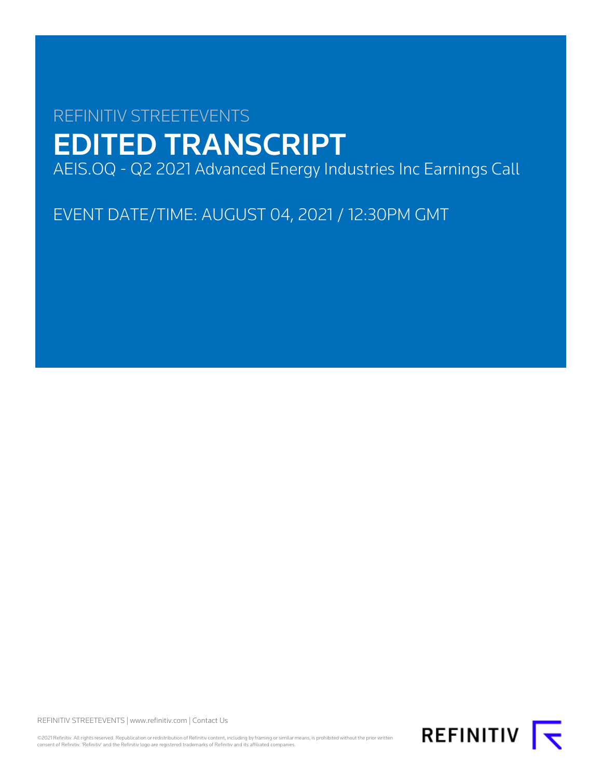# REFINITIV STREETEVENTS EDITED TRANSCRIPT AEIS.OQ - Q2 2021 Advanced Energy Industries Inc Earnings Call

EVENT DATE/TIME: AUGUST 04, 2021 / 12:30PM GMT

REFINITIV STREETEVENTS | [www.refinitiv.com](https://www.refinitiv.com/) | [Contact Us](https://www.refinitiv.com/en/contact-us)

©2021 Refinitiv. All rights reserved. Republication or redistribution of Refinitiv content, including by framing or similar means, is prohibited without the prior written consent of Refinitiv. 'Refinitiv' and the Refinitiv logo are registered trademarks of Refinitiv and its affiliated companies.

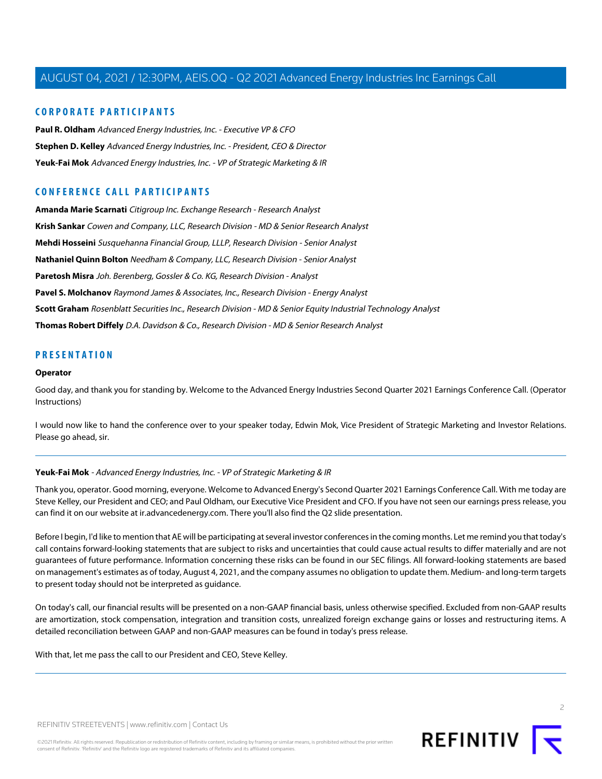#### **CORPORATE PARTICIPANTS**

**[Paul R. Oldham](#page-3-0)** Advanced Energy Industries, Inc. - Executive VP & CFO **[Stephen D. Kelley](#page-2-0)** Advanced Energy Industries, Inc. - President, CEO & Director **[Yeuk-Fai Mok](#page-1-0)** Advanced Energy Industries, Inc. - VP of Strategic Marketing & IR

## **CONFERENCE CALL PARTICIPANTS**

**[Amanda Marie Scarnati](#page-9-0)** Citigroup Inc. Exchange Research - Research Analyst **[Krish Sankar](#page-5-0)** Cowen and Company, LLC, Research Division - MD & Senior Research Analyst **[Mehdi Hosseini](#page-7-0)** Susquehanna Financial Group, LLLP, Research Division - Senior Analyst **[Nathaniel Quinn Bolton](#page-13-0)** Needham & Company, LLC, Research Division - Senior Analyst **[Paretosh Misra](#page-11-0)** Joh. Berenberg, Gossler & Co. KG, Research Division - Analyst **[Pavel S. Molchanov](#page-12-0)** Raymond James & Associates, Inc., Research Division - Energy Analyst **[Scott Graham](#page-6-0)** Rosenblatt Securities Inc., Research Division - MD & Senior Equity Industrial Technology Analyst **[Thomas Robert Diffely](#page-10-0)** D.A. Davidson & Co., Research Division - MD & Senior Research Analyst

#### **PRESENTATION**

#### **Operator**

Good day, and thank you for standing by. Welcome to the Advanced Energy Industries Second Quarter 2021 Earnings Conference Call. (Operator Instructions)

<span id="page-1-0"></span>I would now like to hand the conference over to your speaker today, Edwin Mok, Vice President of Strategic Marketing and Investor Relations. Please go ahead, sir.

#### **Yeuk-Fai Mok** - Advanced Energy Industries, Inc. - VP of Strategic Marketing & IR

Thank you, operator. Good morning, everyone. Welcome to Advanced Energy's Second Quarter 2021 Earnings Conference Call. With me today are Steve Kelley, our President and CEO; and Paul Oldham, our Executive Vice President and CFO. If you have not seen our earnings press release, you can find it on our website at ir.advancedenergy.com. There you'll also find the Q2 slide presentation.

Before I begin, I'd like to mention that AE will be participating at several investor conferences in the coming months. Let me remind you that today's call contains forward-looking statements that are subject to risks and uncertainties that could cause actual results to differ materially and are not guarantees of future performance. Information concerning these risks can be found in our SEC filings. All forward-looking statements are based on management's estimates as of today, August 4, 2021, and the company assumes no obligation to update them. Medium- and long-term targets to present today should not be interpreted as guidance.

On today's call, our financial results will be presented on a non-GAAP financial basis, unless otherwise specified. Excluded from non-GAAP results are amortization, stock compensation, integration and transition costs, unrealized foreign exchange gains or losses and restructuring items. A detailed reconciliation between GAAP and non-GAAP measures can be found in today's press release.

With that, let me pass the call to our President and CEO, Steve Kelley.

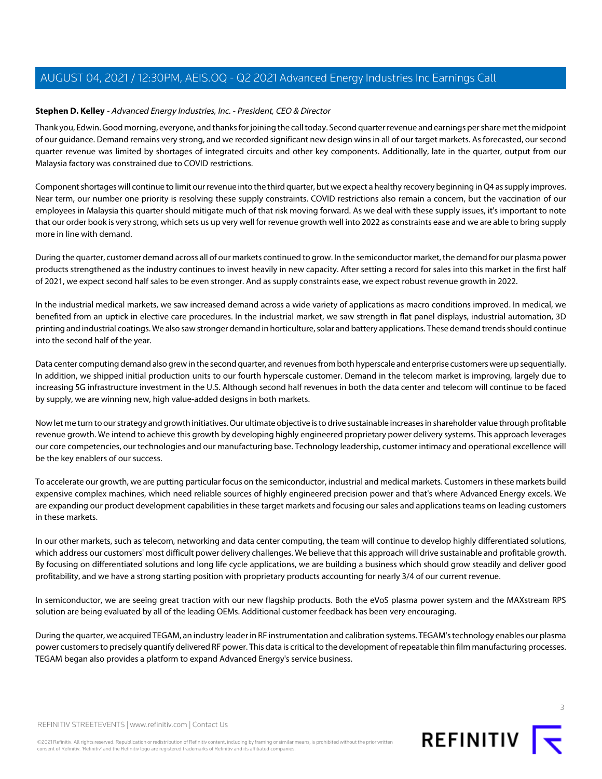#### <span id="page-2-0"></span>**Stephen D. Kelley** - Advanced Energy Industries, Inc. - President, CEO & Director

Thank you, Edwin. Good morning, everyone, and thanks for joining the call today. Second quarter revenue and earnings per share met the midpoint of our guidance. Demand remains very strong, and we recorded significant new design wins in all of our target markets. As forecasted, our second quarter revenue was limited by shortages of integrated circuits and other key components. Additionally, late in the quarter, output from our Malaysia factory was constrained due to COVID restrictions.

Component shortages will continue to limit our revenue into the third quarter, but we expect a healthy recovery beginning in Q4 as supply improves. Near term, our number one priority is resolving these supply constraints. COVID restrictions also remain a concern, but the vaccination of our employees in Malaysia this quarter should mitigate much of that risk moving forward. As we deal with these supply issues, it's important to note that our order book is very strong, which sets us up very well for revenue growth well into 2022 as constraints ease and we are able to bring supply more in line with demand.

During the quarter, customer demand across all of our markets continued to grow. In the semiconductor market, the demand for our plasma power products strengthened as the industry continues to invest heavily in new capacity. After setting a record for sales into this market in the first half of 2021, we expect second half sales to be even stronger. And as supply constraints ease, we expect robust revenue growth in 2022.

In the industrial medical markets, we saw increased demand across a wide variety of applications as macro conditions improved. In medical, we benefited from an uptick in elective care procedures. In the industrial market, we saw strength in flat panel displays, industrial automation, 3D printing and industrial coatings. We also saw stronger demand in horticulture, solar and battery applications. These demand trends should continue into the second half of the year.

Data center computing demand also grew in the second quarter, and revenues from both hyperscale and enterprise customers were up sequentially. In addition, we shipped initial production units to our fourth hyperscale customer. Demand in the telecom market is improving, largely due to increasing 5G infrastructure investment in the U.S. Although second half revenues in both the data center and telecom will continue to be faced by supply, we are winning new, high value-added designs in both markets.

Now let me turn to our strategy and growth initiatives. Our ultimate objective is to drive sustainable increases in shareholder value through profitable revenue growth. We intend to achieve this growth by developing highly engineered proprietary power delivery systems. This approach leverages our core competencies, our technologies and our manufacturing base. Technology leadership, customer intimacy and operational excellence will be the key enablers of our success.

To accelerate our growth, we are putting particular focus on the semiconductor, industrial and medical markets. Customers in these markets build expensive complex machines, which need reliable sources of highly engineered precision power and that's where Advanced Energy excels. We are expanding our product development capabilities in these target markets and focusing our sales and applications teams on leading customers in these markets.

In our other markets, such as telecom, networking and data center computing, the team will continue to develop highly differentiated solutions, which address our customers' most difficult power delivery challenges. We believe that this approach will drive sustainable and profitable growth. By focusing on differentiated solutions and long life cycle applications, we are building a business which should grow steadily and deliver good profitability, and we have a strong starting position with proprietary products accounting for nearly 3/4 of our current revenue.

In semiconductor, we are seeing great traction with our new flagship products. Both the eVoS plasma power system and the MAXstream RPS solution are being evaluated by all of the leading OEMs. Additional customer feedback has been very encouraging.

During the quarter, we acquired TEGAM, an industry leader in RF instrumentation and calibration systems. TEGAM's technology enables our plasma power customers to precisely quantify delivered RF power. This data is critical to the development of repeatable thin film manufacturing processes. TEGAM began also provides a platform to expand Advanced Energy's service business.



3

REFINITIV STREETEVENTS | [www.refinitiv.com](https://www.refinitiv.com/) | [Contact Us](https://www.refinitiv.com/en/contact-us)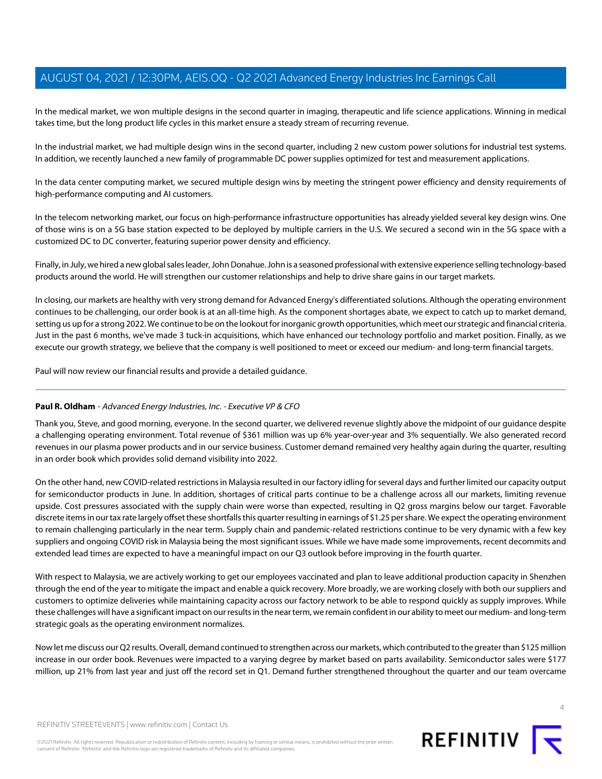In the medical market, we won multiple designs in the second quarter in imaging, therapeutic and life science applications. Winning in medical takes time, but the long product life cycles in this market ensure a steady stream of recurring revenue.

In the industrial market, we had multiple design wins in the second quarter, including 2 new custom power solutions for industrial test systems. In addition, we recently launched a new family of programmable DC power supplies optimized for test and measurement applications.

In the data center computing market, we secured multiple design wins by meeting the stringent power efficiency and density requirements of high-performance computing and AI customers.

In the telecom networking market, our focus on high-performance infrastructure opportunities has already yielded several key design wins. One of those wins is on a 5G base station expected to be deployed by multiple carriers in the U.S. We secured a second win in the 5G space with a customized DC to DC converter, featuring superior power density and efficiency.

Finally, in July, we hired a new global sales leader, John Donahue. John is a seasoned professional with extensive experience selling technology-based products around the world. He will strengthen our customer relationships and help to drive share gains in our target markets.

In closing, our markets are healthy with very strong demand for Advanced Energy's differentiated solutions. Although the operating environment continues to be challenging, our order book is at an all-time high. As the component shortages abate, we expect to catch up to market demand, setting us up for a strong 2022. We continue to be on the lookout for inorganic growth opportunities, which meet our strategic and financial criteria. Just in the past 6 months, we've made 3 tuck-in acquisitions, which have enhanced our technology portfolio and market position. Finally, as we execute our growth strategy, we believe that the company is well positioned to meet or exceed our medium- and long-term financial targets.

<span id="page-3-0"></span>Paul will now review our financial results and provide a detailed guidance.

#### **Paul R. Oldham** - Advanced Energy Industries, Inc. - Executive VP & CFO

Thank you, Steve, and good morning, everyone. In the second quarter, we delivered revenue slightly above the midpoint of our guidance despite a challenging operating environment. Total revenue of \$361 million was up 6% year-over-year and 3% sequentially. We also generated record revenues in our plasma power products and in our service business. Customer demand remained very healthy again during the quarter, resulting in an order book which provides solid demand visibility into 2022.

On the other hand, new COVID-related restrictions in Malaysia resulted in our factory idling for several days and further limited our capacity output for semiconductor products in June. In addition, shortages of critical parts continue to be a challenge across all our markets, limiting revenue upside. Cost pressures associated with the supply chain were worse than expected, resulting in Q2 gross margins below our target. Favorable discrete items in our tax rate largely offset these shortfalls this quarter resulting in earnings of \$1.25 per share. We expect the operating environment to remain challenging particularly in the near term. Supply chain and pandemic-related restrictions continue to be very dynamic with a few key suppliers and ongoing COVID risk in Malaysia being the most significant issues. While we have made some improvements, recent decommits and extended lead times are expected to have a meaningful impact on our Q3 outlook before improving in the fourth quarter.

With respect to Malaysia, we are actively working to get our employees vaccinated and plan to leave additional production capacity in Shenzhen through the end of the year to mitigate the impact and enable a quick recovery. More broadly, we are working closely with both our suppliers and customers to optimize deliveries while maintaining capacity across our factory network to be able to respond quickly as supply improves. While these challenges will have a significant impact on our results in the near term, we remain confident in our ability to meet our medium- and long-term strategic goals as the operating environment normalizes.

Now let me discuss our Q2 results. Overall, demand continued to strengthen across our markets, which contributed to the greater than \$125 million increase in our order book. Revenues were impacted to a varying degree by market based on parts availability. Semiconductor sales were \$177 million, up 21% from last year and just off the record set in Q1. Demand further strengthened throughout the quarter and our team overcame



 $\Delta$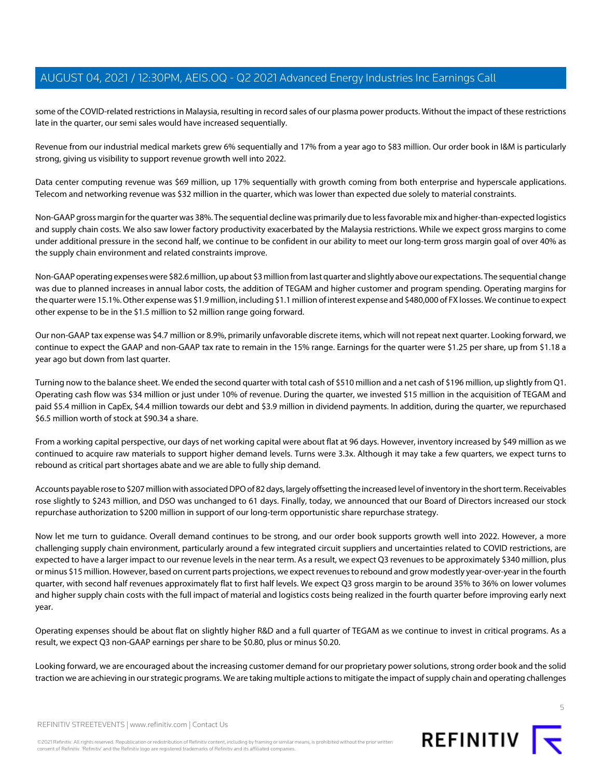some of the COVID-related restrictions in Malaysia, resulting in record sales of our plasma power products. Without the impact of these restrictions late in the quarter, our semi sales would have increased sequentially.

Revenue from our industrial medical markets grew 6% sequentially and 17% from a year ago to \$83 million. Our order book in I&M is particularly strong, giving us visibility to support revenue growth well into 2022.

Data center computing revenue was \$69 million, up 17% sequentially with growth coming from both enterprise and hyperscale applications. Telecom and networking revenue was \$32 million in the quarter, which was lower than expected due solely to material constraints.

Non-GAAP gross margin for the quarter was 38%. The sequential decline was primarily due to less favorable mix and higher-than-expected logistics and supply chain costs. We also saw lower factory productivity exacerbated by the Malaysia restrictions. While we expect gross margins to come under additional pressure in the second half, we continue to be confident in our ability to meet our long-term gross margin goal of over 40% as the supply chain environment and related constraints improve.

Non-GAAP operating expenses were \$82.6 million, up about \$3 million from last quarter and slightly above our expectations. The sequential change was due to planned increases in annual labor costs, the addition of TEGAM and higher customer and program spending. Operating margins for the quarter were 15.1%. Other expense was \$1.9 million, including \$1.1 million of interest expense and \$480,000 of FX losses. We continue to expect other expense to be in the \$1.5 million to \$2 million range going forward.

Our non-GAAP tax expense was \$4.7 million or 8.9%, primarily unfavorable discrete items, which will not repeat next quarter. Looking forward, we continue to expect the GAAP and non-GAAP tax rate to remain in the 15% range. Earnings for the quarter were \$1.25 per share, up from \$1.18 a year ago but down from last quarter.

Turning now to the balance sheet. We ended the second quarter with total cash of \$510 million and a net cash of \$196 million, up slightly from Q1. Operating cash flow was \$34 million or just under 10% of revenue. During the quarter, we invested \$15 million in the acquisition of TEGAM and paid \$5.4 million in CapEx, \$4.4 million towards our debt and \$3.9 million in dividend payments. In addition, during the quarter, we repurchased \$6.5 million worth of stock at \$90.34 a share.

From a working capital perspective, our days of net working capital were about flat at 96 days. However, inventory increased by \$49 million as we continued to acquire raw materials to support higher demand levels. Turns were 3.3x. Although it may take a few quarters, we expect turns to rebound as critical part shortages abate and we are able to fully ship demand.

Accounts payable rose to \$207 million with associated DPO of 82 days, largely offsetting the increased level of inventory in the short term. Receivables rose slightly to \$243 million, and DSO was unchanged to 61 days. Finally, today, we announced that our Board of Directors increased our stock repurchase authorization to \$200 million in support of our long-term opportunistic share repurchase strategy.

Now let me turn to guidance. Overall demand continues to be strong, and our order book supports growth well into 2022. However, a more challenging supply chain environment, particularly around a few integrated circuit suppliers and uncertainties related to COVID restrictions, are expected to have a larger impact to our revenue levels in the near term. As a result, we expect Q3 revenues to be approximately \$340 million, plus or minus \$15 million. However, based on current parts projections, we expect revenues to rebound and grow modestly year-over-year in the fourth quarter, with second half revenues approximately flat to first half levels. We expect Q3 gross margin to be around 35% to 36% on lower volumes and higher supply chain costs with the full impact of material and logistics costs being realized in the fourth quarter before improving early next year.

Operating expenses should be about flat on slightly higher R&D and a full quarter of TEGAM as we continue to invest in critical programs. As a result, we expect Q3 non-GAAP earnings per share to be \$0.80, plus or minus \$0.20.

Looking forward, we are encouraged about the increasing customer demand for our proprietary power solutions, strong order book and the solid traction we are achieving in our strategic programs. We are taking multiple actions to mitigate the impact of supply chain and operating challenges



REFINITIV STREETEVENTS | [www.refinitiv.com](https://www.refinitiv.com/) | [Contact Us](https://www.refinitiv.com/en/contact-us)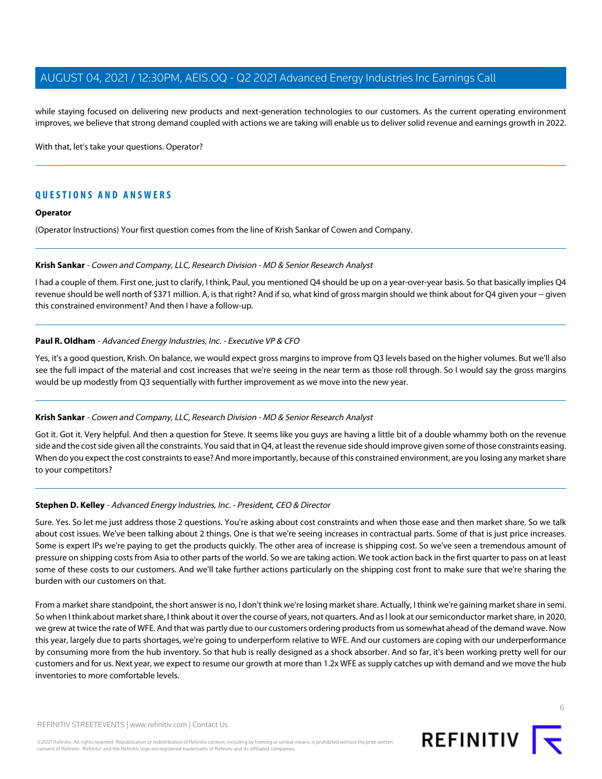while staying focused on delivering new products and next-generation technologies to our customers. As the current operating environment improves, we believe that strong demand coupled with actions we are taking will enable us to deliver solid revenue and earnings growth in 2022.

With that, let's take your questions. Operator?

## **QUESTIONS AND ANSWERS**

#### **Operator**

<span id="page-5-0"></span>(Operator Instructions) Your first question comes from the line of Krish Sankar of Cowen and Company.

#### **Krish Sankar** - Cowen and Company, LLC, Research Division - MD & Senior Research Analyst

I had a couple of them. First one, just to clarify, I think, Paul, you mentioned Q4 should be up on a year-over-year basis. So that basically implies Q4 revenue should be well north of \$371 million. A, is that right? And if so, what kind of gross margin should we think about for Q4 given your -- given this constrained environment? And then I have a follow-up.

#### **Paul R. Oldham** - Advanced Energy Industries, Inc. - Executive VP & CFO

Yes, it's a good question, Krish. On balance, we would expect gross margins to improve from Q3 levels based on the higher volumes. But we'll also see the full impact of the material and cost increases that we're seeing in the near term as those roll through. So I would say the gross margins would be up modestly from Q3 sequentially with further improvement as we move into the new year.

#### **Krish Sankar** - Cowen and Company, LLC, Research Division - MD & Senior Research Analyst

Got it. Got it. Very helpful. And then a question for Steve. It seems like you guys are having a little bit of a double whammy both on the revenue side and the cost side given all the constraints. You said that in Q4, at least the revenue side should improve given some of those constraints easing. When do you expect the cost constraints to ease? And more importantly, because of this constrained environment, are you losing any market share to your competitors?

#### **Stephen D. Kelley** - Advanced Energy Industries, Inc. - President, CEO & Director

Sure. Yes. So let me just address those 2 questions. You're asking about cost constraints and when those ease and then market share. So we talk about cost issues. We've been talking about 2 things. One is that we're seeing increases in contractual parts. Some of that is just price increases. Some is expert IPs we're paying to get the products quickly. The other area of increase is shipping cost. So we've seen a tremendous amount of pressure on shipping costs from Asia to other parts of the world. So we are taking action. We took action back in the first quarter to pass on at least some of these costs to our customers. And we'll take further actions particularly on the shipping cost front to make sure that we're sharing the burden with our customers on that.

From a market share standpoint, the short answer is no, I don't think we're losing market share. Actually, I think we're gaining market share in semi. So when I think about market share, I think about it over the course of years, not quarters. And as I look at our semiconductor market share, in 2020, we grew at twice the rate of WFE. And that was partly due to our customers ordering products from us somewhat ahead of the demand wave. Now this year, largely due to parts shortages, we're going to underperform relative to WFE. And our customers are coping with our underperformance by consuming more from the hub inventory. So that hub is really designed as a shock absorber. And so far, it's been working pretty well for our customers and for us. Next year, we expect to resume our growth at more than 1.2x WFE as supply catches up with demand and we move the hub inventories to more comfortable levels.

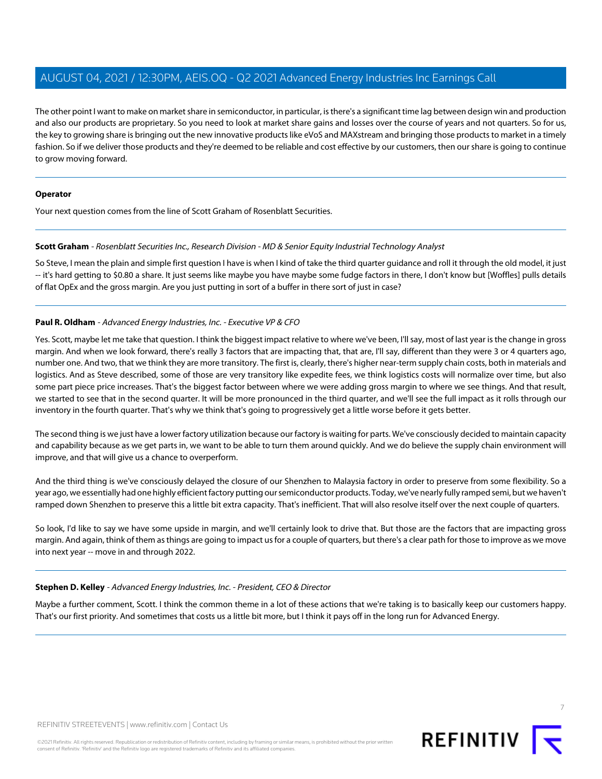The other point I want to make on market share in semiconductor, in particular, is there's a significant time lag between design win and production and also our products are proprietary. So you need to look at market share gains and losses over the course of years and not quarters. So for us, the key to growing share is bringing out the new innovative products like eVoS and MAXstream and bringing those products to market in a timely fashion. So if we deliver those products and they're deemed to be reliable and cost effective by our customers, then our share is going to continue to grow moving forward.

#### **Operator**

<span id="page-6-0"></span>Your next question comes from the line of Scott Graham of Rosenblatt Securities.

#### **Scott Graham** - Rosenblatt Securities Inc., Research Division - MD & Senior Equity Industrial Technology Analyst

So Steve, I mean the plain and simple first question I have is when I kind of take the third quarter guidance and roll it through the old model, it just -- it's hard getting to \$0.80 a share. It just seems like maybe you have maybe some fudge factors in there, I don't know but [Woffles] pulls details of flat OpEx and the gross margin. Are you just putting in sort of a buffer in there sort of just in case?

#### **Paul R. Oldham** - Advanced Energy Industries, Inc. - Executive VP & CFO

Yes. Scott, maybe let me take that question. I think the biggest impact relative to where we've been, I'll say, most of last year is the change in gross margin. And when we look forward, there's really 3 factors that are impacting that, that are, I'll say, different than they were 3 or 4 quarters ago, number one. And two, that we think they are more transitory. The first is, clearly, there's higher near-term supply chain costs, both in materials and logistics. And as Steve described, some of those are very transitory like expedite fees, we think logistics costs will normalize over time, but also some part piece price increases. That's the biggest factor between where we were adding gross margin to where we see things. And that result, we started to see that in the second quarter. It will be more pronounced in the third quarter, and we'll see the full impact as it rolls through our inventory in the fourth quarter. That's why we think that's going to progressively get a little worse before it gets better.

The second thing is we just have a lower factory utilization because our factory is waiting for parts. We've consciously decided to maintain capacity and capability because as we get parts in, we want to be able to turn them around quickly. And we do believe the supply chain environment will improve, and that will give us a chance to overperform.

And the third thing is we've consciously delayed the closure of our Shenzhen to Malaysia factory in order to preserve from some flexibility. So a year ago, we essentially had one highly efficient factory putting our semiconductor products. Today, we've nearly fully ramped semi, but we haven't ramped down Shenzhen to preserve this a little bit extra capacity. That's inefficient. That will also resolve itself over the next couple of quarters.

So look, I'd like to say we have some upside in margin, and we'll certainly look to drive that. But those are the factors that are impacting gross margin. And again, think of them as things are going to impact us for a couple of quarters, but there's a clear path for those to improve as we move into next year -- move in and through 2022.

#### **Stephen D. Kelley** - Advanced Energy Industries, Inc. - President, CEO & Director

Maybe a further comment, Scott. I think the common theme in a lot of these actions that we're taking is to basically keep our customers happy. That's our first priority. And sometimes that costs us a little bit more, but I think it pays off in the long run for Advanced Energy.

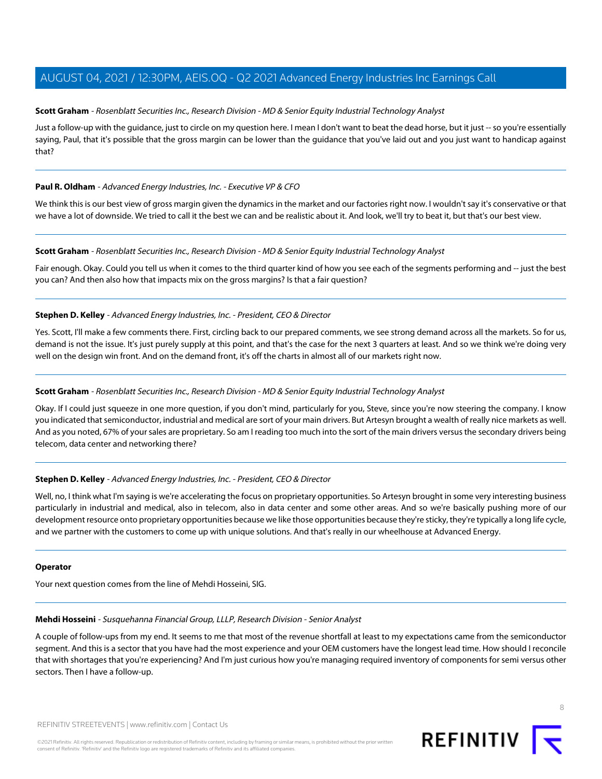#### **Scott Graham** - Rosenblatt Securities Inc., Research Division - MD & Senior Equity Industrial Technology Analyst

Just a follow-up with the guidance, just to circle on my question here. I mean I don't want to beat the dead horse, but it just -- so you're essentially saying, Paul, that it's possible that the gross margin can be lower than the guidance that you've laid out and you just want to handicap against that?

#### **Paul R. Oldham** - Advanced Energy Industries, Inc. - Executive VP & CFO

We think this is our best view of gross margin given the dynamics in the market and our factories right now. I wouldn't say it's conservative or that we have a lot of downside. We tried to call it the best we can and be realistic about it. And look, we'll try to beat it, but that's our best view.

#### **Scott Graham** - Rosenblatt Securities Inc., Research Division - MD & Senior Equity Industrial Technology Analyst

Fair enough. Okay. Could you tell us when it comes to the third quarter kind of how you see each of the segments performing and -- just the best you can? And then also how that impacts mix on the gross margins? Is that a fair question?

#### **Stephen D. Kelley** - Advanced Energy Industries, Inc. - President, CEO & Director

Yes. Scott, I'll make a few comments there. First, circling back to our prepared comments, we see strong demand across all the markets. So for us, demand is not the issue. It's just purely supply at this point, and that's the case for the next 3 quarters at least. And so we think we're doing very well on the design win front. And on the demand front, it's off the charts in almost all of our markets right now.

#### **Scott Graham** - Rosenblatt Securities Inc., Research Division - MD & Senior Equity Industrial Technology Analyst

Okay. If I could just squeeze in one more question, if you don't mind, particularly for you, Steve, since you're now steering the company. I know you indicated that semiconductor, industrial and medical are sort of your main drivers. But Artesyn brought a wealth of really nice markets as well. And as you noted, 67% of your sales are proprietary. So am I reading too much into the sort of the main drivers versus the secondary drivers being telecom, data center and networking there?

#### **Stephen D. Kelley** - Advanced Energy Industries, Inc. - President, CEO & Director

Well, no, I think what I'm saying is we're accelerating the focus on proprietary opportunities. So Artesyn brought in some very interesting business particularly in industrial and medical, also in telecom, also in data center and some other areas. And so we're basically pushing more of our development resource onto proprietary opportunities because we like those opportunities because they're sticky, they're typically a long life cycle, and we partner with the customers to come up with unique solutions. And that's really in our wheelhouse at Advanced Energy.

#### <span id="page-7-0"></span>**Operator**

Your next question comes from the line of Mehdi Hosseini, SIG.

#### **Mehdi Hosseini** - Susquehanna Financial Group, LLLP, Research Division - Senior Analyst

A couple of follow-ups from my end. It seems to me that most of the revenue shortfall at least to my expectations came from the semiconductor segment. And this is a sector that you have had the most experience and your OEM customers have the longest lead time. How should I reconcile that with shortages that you're experiencing? And I'm just curious how you're managing required inventory of components for semi versus other sectors. Then I have a follow-up.

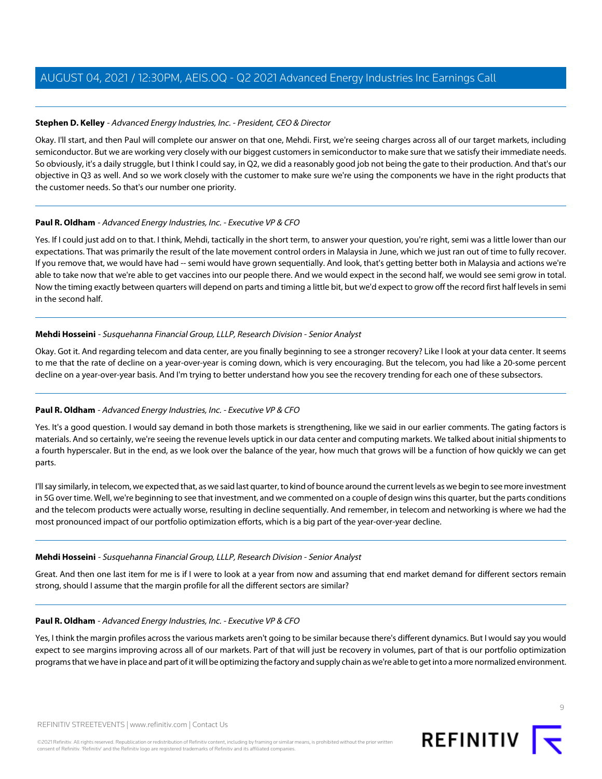#### **Stephen D. Kelley** - Advanced Energy Industries, Inc. - President, CEO & Director

Okay. I'll start, and then Paul will complete our answer on that one, Mehdi. First, we're seeing charges across all of our target markets, including semiconductor. But we are working very closely with our biggest customers in semiconductor to make sure that we satisfy their immediate needs. So obviously, it's a daily struggle, but I think I could say, in Q2, we did a reasonably good job not being the gate to their production. And that's our objective in Q3 as well. And so we work closely with the customer to make sure we're using the components we have in the right products that the customer needs. So that's our number one priority.

#### **Paul R. Oldham** - Advanced Energy Industries, Inc. - Executive VP & CFO

Yes. If I could just add on to that. I think, Mehdi, tactically in the short term, to answer your question, you're right, semi was a little lower than our expectations. That was primarily the result of the late movement control orders in Malaysia in June, which we just ran out of time to fully recover. If you remove that, we would have had -- semi would have grown sequentially. And look, that's getting better both in Malaysia and actions we're able to take now that we're able to get vaccines into our people there. And we would expect in the second half, we would see semi grow in total. Now the timing exactly between quarters will depend on parts and timing a little bit, but we'd expect to grow off the record first half levels in semi in the second half.

#### **Mehdi Hosseini** - Susquehanna Financial Group, LLLP, Research Division - Senior Analyst

Okay. Got it. And regarding telecom and data center, are you finally beginning to see a stronger recovery? Like I look at your data center. It seems to me that the rate of decline on a year-over-year is coming down, which is very encouraging. But the telecom, you had like a 20-some percent decline on a year-over-year basis. And I'm trying to better understand how you see the recovery trending for each one of these subsectors.

#### **Paul R. Oldham** - Advanced Energy Industries, Inc. - Executive VP & CFO

Yes. It's a good question. I would say demand in both those markets is strengthening, like we said in our earlier comments. The gating factors is materials. And so certainly, we're seeing the revenue levels uptick in our data center and computing markets. We talked about initial shipments to a fourth hyperscaler. But in the end, as we look over the balance of the year, how much that grows will be a function of how quickly we can get parts.

I'll say similarly, in telecom, we expected that, as we said last quarter, to kind of bounce around the current levels as we begin to see more investment in 5G over time. Well, we're beginning to see that investment, and we commented on a couple of design wins this quarter, but the parts conditions and the telecom products were actually worse, resulting in decline sequentially. And remember, in telecom and networking is where we had the most pronounced impact of our portfolio optimization efforts, which is a big part of the year-over-year decline.

#### **Mehdi Hosseini** - Susquehanna Financial Group, LLLP, Research Division - Senior Analyst

Great. And then one last item for me is if I were to look at a year from now and assuming that end market demand for different sectors remain strong, should I assume that the margin profile for all the different sectors are similar?

#### **Paul R. Oldham** - Advanced Energy Industries, Inc. - Executive VP & CFO

Yes, I think the margin profiles across the various markets aren't going to be similar because there's different dynamics. But I would say you would expect to see margins improving across all of our markets. Part of that will just be recovery in volumes, part of that is our portfolio optimization programs that we have in place and part of it will be optimizing the factory and supply chain as we're able to get into a more normalized environment.



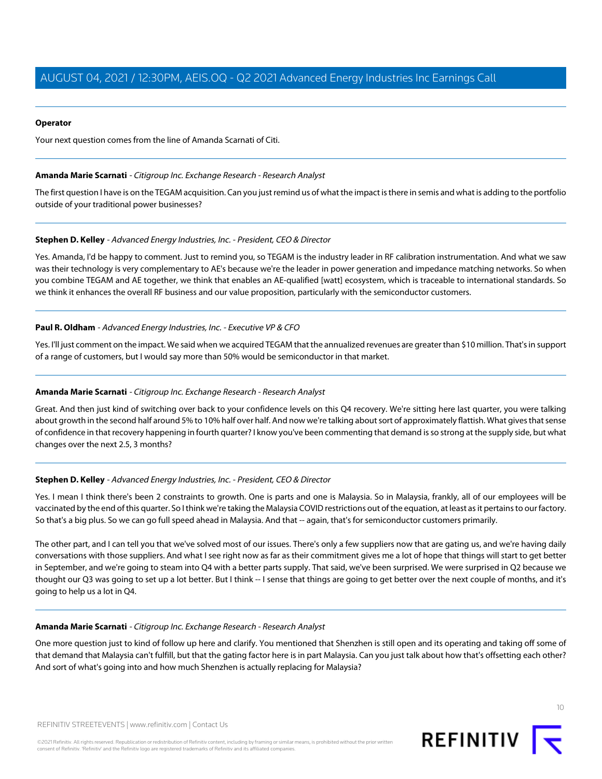#### **Operator**

<span id="page-9-0"></span>Your next question comes from the line of Amanda Scarnati of Citi.

#### **Amanda Marie Scarnati** - Citigroup Inc. Exchange Research - Research Analyst

The first question I have is on the TEGAM acquisition. Can you just remind us of what the impact is there in semis and what is adding to the portfolio outside of your traditional power businesses?

#### **Stephen D. Kelley** - Advanced Energy Industries, Inc. - President, CEO & Director

Yes. Amanda, I'd be happy to comment. Just to remind you, so TEGAM is the industry leader in RF calibration instrumentation. And what we saw was their technology is very complementary to AE's because we're the leader in power generation and impedance matching networks. So when you combine TEGAM and AE together, we think that enables an AE-qualified [watt] ecosystem, which is traceable to international standards. So we think it enhances the overall RF business and our value proposition, particularly with the semiconductor customers.

#### **Paul R. Oldham** - Advanced Energy Industries, Inc. - Executive VP & CFO

Yes. I'll just comment on the impact. We said when we acquired TEGAM that the annualized revenues are greater than \$10 million. That's in support of a range of customers, but I would say more than 50% would be semiconductor in that market.

#### **Amanda Marie Scarnati** - Citigroup Inc. Exchange Research - Research Analyst

Great. And then just kind of switching over back to your confidence levels on this Q4 recovery. We're sitting here last quarter, you were talking about growth in the second half around 5% to 10% half over half. And now we're talking about sort of approximately flattish. What gives that sense of confidence in that recovery happening in fourth quarter? I know you've been commenting that demand is so strong at the supply side, but what changes over the next 2.5, 3 months?

#### **Stephen D. Kelley** - Advanced Energy Industries, Inc. - President, CEO & Director

Yes. I mean I think there's been 2 constraints to growth. One is parts and one is Malaysia. So in Malaysia, frankly, all of our employees will be vaccinated by the end of this quarter. So I think we're taking the Malaysia COVID restrictions out of the equation, at least as it pertains to our factory. So that's a big plus. So we can go full speed ahead in Malaysia. And that -- again, that's for semiconductor customers primarily.

The other part, and I can tell you that we've solved most of our issues. There's only a few suppliers now that are gating us, and we're having daily conversations with those suppliers. And what I see right now as far as their commitment gives me a lot of hope that things will start to get better in September, and we're going to steam into Q4 with a better parts supply. That said, we've been surprised. We were surprised in Q2 because we thought our Q3 was going to set up a lot better. But I think -- I sense that things are going to get better over the next couple of months, and it's going to help us a lot in Q4.

#### **Amanda Marie Scarnati** - Citigroup Inc. Exchange Research - Research Analyst

One more question just to kind of follow up here and clarify. You mentioned that Shenzhen is still open and its operating and taking off some of that demand that Malaysia can't fulfill, but that the gating factor here is in part Malaysia. Can you just talk about how that's offsetting each other? And sort of what's going into and how much Shenzhen is actually replacing for Malaysia?

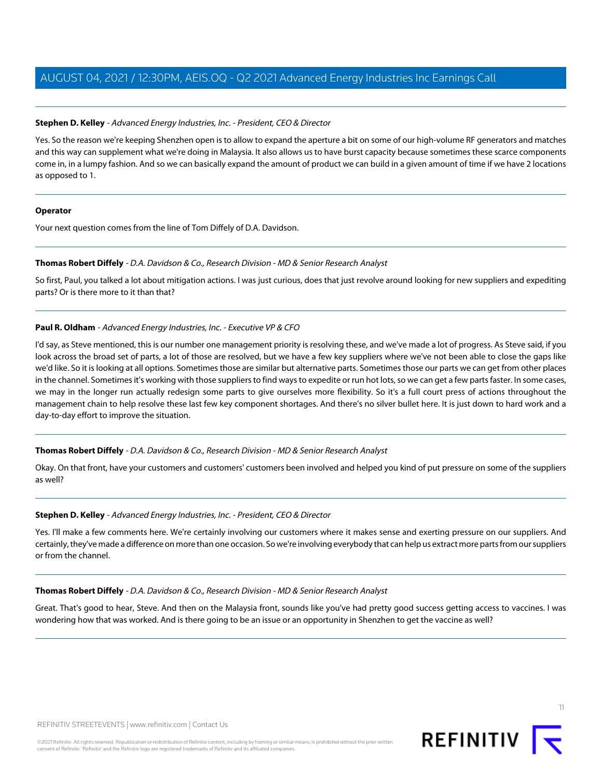#### **Stephen D. Kelley** - Advanced Energy Industries, Inc. - President, CEO & Director

Yes. So the reason we're keeping Shenzhen open is to allow to expand the aperture a bit on some of our high-volume RF generators and matches and this way can supplement what we're doing in Malaysia. It also allows us to have burst capacity because sometimes these scarce components come in, in a lumpy fashion. And so we can basically expand the amount of product we can build in a given amount of time if we have 2 locations as opposed to 1.

#### **Operator**

<span id="page-10-0"></span>Your next question comes from the line of Tom Diffely of D.A. Davidson.

#### **Thomas Robert Diffely** - D.A. Davidson & Co., Research Division - MD & Senior Research Analyst

So first, Paul, you talked a lot about mitigation actions. I was just curious, does that just revolve around looking for new suppliers and expediting parts? Or is there more to it than that?

#### **Paul R. Oldham** - Advanced Energy Industries, Inc. - Executive VP & CFO

I'd say, as Steve mentioned, this is our number one management priority is resolving these, and we've made a lot of progress. As Steve said, if you look across the broad set of parts, a lot of those are resolved, but we have a few key suppliers where we've not been able to close the gaps like we'd like. So it is looking at all options. Sometimes those are similar but alternative parts. Sometimes those our parts we can get from other places in the channel. Sometimes it's working with those suppliers to find ways to expedite or run hot lots, so we can get a few parts faster. In some cases, we may in the longer run actually redesign some parts to give ourselves more flexibility. So it's a full court press of actions throughout the management chain to help resolve these last few key component shortages. And there's no silver bullet here. It is just down to hard work and a day-to-day effort to improve the situation.

#### **Thomas Robert Diffely** - D.A. Davidson & Co., Research Division - MD & Senior Research Analyst

Okay. On that front, have your customers and customers' customers been involved and helped you kind of put pressure on some of the suppliers as well?

#### **Stephen D. Kelley** - Advanced Energy Industries, Inc. - President, CEO & Director

Yes. I'll make a few comments here. We're certainly involving our customers where it makes sense and exerting pressure on our suppliers. And certainly, they've made a difference on more than one occasion. So we're involving everybody that can help us extract more parts from our suppliers or from the channel.

#### **Thomas Robert Diffely** - D.A. Davidson & Co., Research Division - MD & Senior Research Analyst

Great. That's good to hear, Steve. And then on the Malaysia front, sounds like you've had pretty good success getting access to vaccines. I was wondering how that was worked. And is there going to be an issue or an opportunity in Shenzhen to get the vaccine as well?

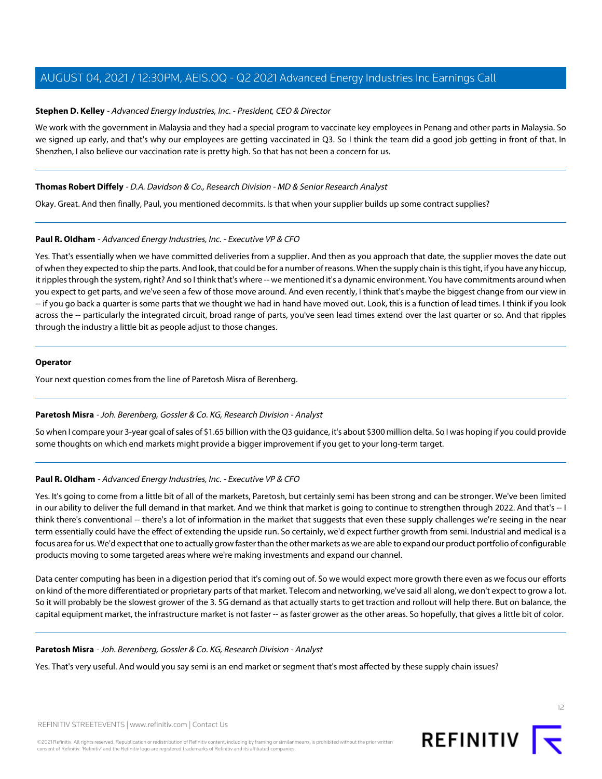#### **Stephen D. Kelley** - Advanced Energy Industries, Inc. - President, CEO & Director

We work with the government in Malaysia and they had a special program to vaccinate key employees in Penang and other parts in Malaysia. So we signed up early, and that's why our employees are getting vaccinated in Q3. So I think the team did a good job getting in front of that. In Shenzhen, I also believe our vaccination rate is pretty high. So that has not been a concern for us.

#### **Thomas Robert Diffely** - D.A. Davidson & Co., Research Division - MD & Senior Research Analyst

Okay. Great. And then finally, Paul, you mentioned decommits. Is that when your supplier builds up some contract supplies?

#### **Paul R. Oldham** - Advanced Energy Industries, Inc. - Executive VP & CFO

Yes. That's essentially when we have committed deliveries from a supplier. And then as you approach that date, the supplier moves the date out of when they expected to ship the parts. And look, that could be for a number of reasons. When the supply chain is this tight, if you have any hiccup, it ripples through the system, right? And so I think that's where -- we mentioned it's a dynamic environment. You have commitments around when you expect to get parts, and we've seen a few of those move around. And even recently, I think that's maybe the biggest change from our view in -- if you go back a quarter is some parts that we thought we had in hand have moved out. Look, this is a function of lead times. I think if you look across the -- particularly the integrated circuit, broad range of parts, you've seen lead times extend over the last quarter or so. And that ripples through the industry a little bit as people adjust to those changes.

#### **Operator**

<span id="page-11-0"></span>Your next question comes from the line of Paretosh Misra of Berenberg.

#### **Paretosh Misra** - Joh. Berenberg, Gossler & Co. KG, Research Division - Analyst

So when I compare your 3-year goal of sales of \$1.65 billion with the Q3 guidance, it's about \$300 million delta. So I was hoping if you could provide some thoughts on which end markets might provide a bigger improvement if you get to your long-term target.

#### **Paul R. Oldham** - Advanced Energy Industries, Inc. - Executive VP & CFO

Yes. It's going to come from a little bit of all of the markets, Paretosh, but certainly semi has been strong and can be stronger. We've been limited in our ability to deliver the full demand in that market. And we think that market is going to continue to strengthen through 2022. And that's -- I think there's conventional -- there's a lot of information in the market that suggests that even these supply challenges we're seeing in the near term essentially could have the effect of extending the upside run. So certainly, we'd expect further growth from semi. Industrial and medical is a focus area for us. We'd expect that one to actually grow faster than the other markets as we are able to expand our product portfolio of configurable products moving to some targeted areas where we're making investments and expand our channel.

Data center computing has been in a digestion period that it's coming out of. So we would expect more growth there even as we focus our efforts on kind of the more differentiated or proprietary parts of that market. Telecom and networking, we've said all along, we don't expect to grow a lot. So it will probably be the slowest grower of the 3. 5G demand as that actually starts to get traction and rollout will help there. But on balance, the capital equipment market, the infrastructure market is not faster -- as faster grower as the other areas. So hopefully, that gives a little bit of color.

#### **Paretosh Misra** - Joh. Berenberg, Gossler & Co. KG, Research Division - Analyst

Yes. That's very useful. And would you say semi is an end market or segment that's most affected by these supply chain issues?

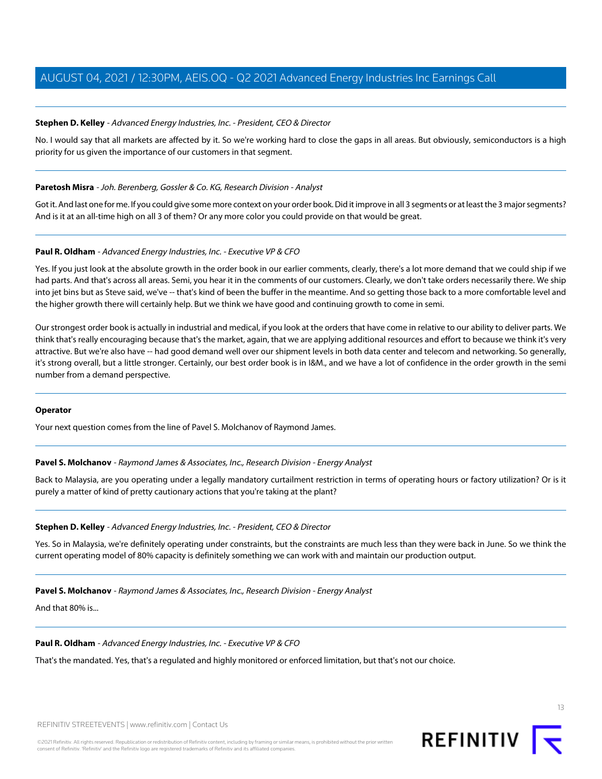#### **Stephen D. Kelley** - Advanced Energy Industries, Inc. - President, CEO & Director

No. I would say that all markets are affected by it. So we're working hard to close the gaps in all areas. But obviously, semiconductors is a high priority for us given the importance of our customers in that segment.

#### **Paretosh Misra** - Joh. Berenberg, Gossler & Co. KG, Research Division - Analyst

Got it. And last one for me. If you could give some more context on your order book. Did it improve in all 3 segments or at least the 3 major segments? And is it at an all-time high on all 3 of them? Or any more color you could provide on that would be great.

#### **Paul R. Oldham** - Advanced Energy Industries, Inc. - Executive VP & CFO

Yes. If you just look at the absolute growth in the order book in our earlier comments, clearly, there's a lot more demand that we could ship if we had parts. And that's across all areas. Semi, you hear it in the comments of our customers. Clearly, we don't take orders necessarily there. We ship into jet bins but as Steve said, we've -- that's kind of been the buffer in the meantime. And so getting those back to a more comfortable level and the higher growth there will certainly help. But we think we have good and continuing growth to come in semi.

Our strongest order book is actually in industrial and medical, if you look at the orders that have come in relative to our ability to deliver parts. We think that's really encouraging because that's the market, again, that we are applying additional resources and effort to because we think it's very attractive. But we're also have -- had good demand well over our shipment levels in both data center and telecom and networking. So generally, it's strong overall, but a little stronger. Certainly, our best order book is in I&M., and we have a lot of confidence in the order growth in the semi number from a demand perspective.

#### <span id="page-12-0"></span>**Operator**

Your next question comes from the line of Pavel S. Molchanov of Raymond James.

#### **Pavel S. Molchanov** - Raymond James & Associates, Inc., Research Division - Energy Analyst

Back to Malaysia, are you operating under a legally mandatory curtailment restriction in terms of operating hours or factory utilization? Or is it purely a matter of kind of pretty cautionary actions that you're taking at the plant?

#### **Stephen D. Kelley** - Advanced Energy Industries, Inc. - President, CEO & Director

Yes. So in Malaysia, we're definitely operating under constraints, but the constraints are much less than they were back in June. So we think the current operating model of 80% capacity is definitely something we can work with and maintain our production output.

#### **Pavel S. Molchanov** - Raymond James & Associates, Inc., Research Division - Energy Analyst

And that 80% is...

#### **Paul R. Oldham** - Advanced Energy Industries, Inc. - Executive VP & CFO

That's the mandated. Yes, that's a regulated and highly monitored or enforced limitation, but that's not our choice.

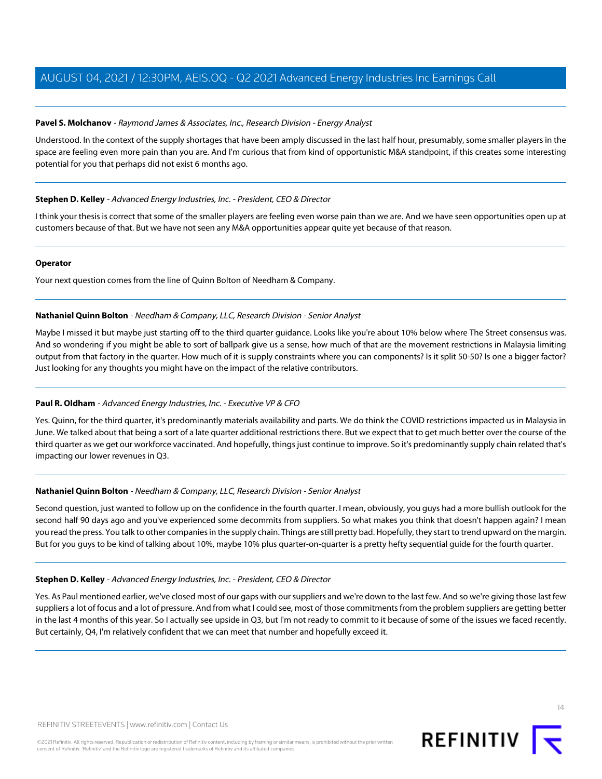#### **Pavel S. Molchanov** - Raymond James & Associates, Inc., Research Division - Energy Analyst

Understood. In the context of the supply shortages that have been amply discussed in the last half hour, presumably, some smaller players in the space are feeling even more pain than you are. And I'm curious that from kind of opportunistic M&A standpoint, if this creates some interesting potential for you that perhaps did not exist 6 months ago.

#### **Stephen D. Kelley** - Advanced Energy Industries, Inc. - President, CEO & Director

I think your thesis is correct that some of the smaller players are feeling even worse pain than we are. And we have seen opportunities open up at customers because of that. But we have not seen any M&A opportunities appear quite yet because of that reason.

#### **Operator**

<span id="page-13-0"></span>Your next question comes from the line of Quinn Bolton of Needham & Company.

#### **Nathaniel Quinn Bolton** - Needham & Company, LLC, Research Division - Senior Analyst

Maybe I missed it but maybe just starting off to the third quarter guidance. Looks like you're about 10% below where The Street consensus was. And so wondering if you might be able to sort of ballpark give us a sense, how much of that are the movement restrictions in Malaysia limiting output from that factory in the quarter. How much of it is supply constraints where you can components? Is it split 50-50? Is one a bigger factor? Just looking for any thoughts you might have on the impact of the relative contributors.

#### **Paul R. Oldham** - Advanced Energy Industries, Inc. - Executive VP & CFO

Yes. Quinn, for the third quarter, it's predominantly materials availability and parts. We do think the COVID restrictions impacted us in Malaysia in June. We talked about that being a sort of a late quarter additional restrictions there. But we expect that to get much better over the course of the third quarter as we get our workforce vaccinated. And hopefully, things just continue to improve. So it's predominantly supply chain related that's impacting our lower revenues in Q3.

#### **Nathaniel Quinn Bolton** - Needham & Company, LLC, Research Division - Senior Analyst

Second question, just wanted to follow up on the confidence in the fourth quarter. I mean, obviously, you guys had a more bullish outlook for the second half 90 days ago and you've experienced some decommits from suppliers. So what makes you think that doesn't happen again? I mean you read the press. You talk to other companies in the supply chain. Things are still pretty bad. Hopefully, they start to trend upward on the margin. But for you guys to be kind of talking about 10%, maybe 10% plus quarter-on-quarter is a pretty hefty sequential guide for the fourth quarter.

#### **Stephen D. Kelley** - Advanced Energy Industries, Inc. - President, CEO & Director

Yes. As Paul mentioned earlier, we've closed most of our gaps with our suppliers and we're down to the last few. And so we're giving those last few suppliers a lot of focus and a lot of pressure. And from what I could see, most of those commitments from the problem suppliers are getting better in the last 4 months of this year. So I actually see upside in Q3, but I'm not ready to commit to it because of some of the issues we faced recently. But certainly, Q4, I'm relatively confident that we can meet that number and hopefully exceed it.